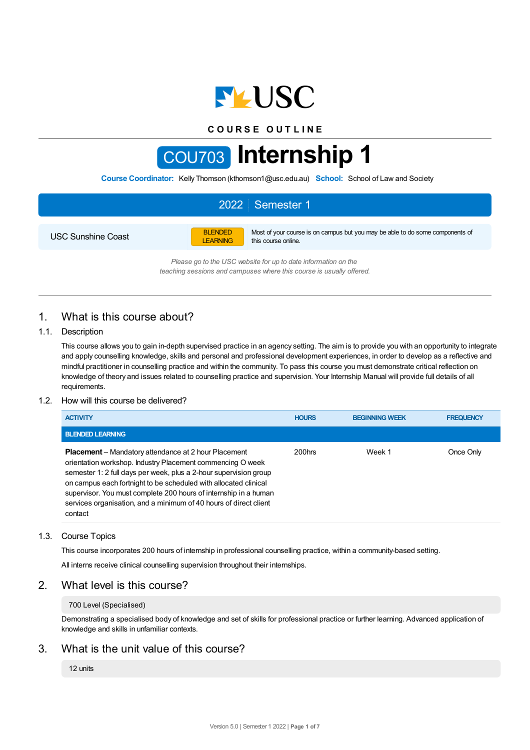

**C O U R S E O U T L I N E**

# COU703 **Internship 1**

**Course Coordinator:** Kelly Thomson (kthomson1@usc.edu.au) **School:** School of Law and Society

|                           |                                   | 2022 Semester 1                                                                                      |
|---------------------------|-----------------------------------|------------------------------------------------------------------------------------------------------|
| <b>USC Sunshine Coast</b> | <b>BLENDED</b><br><b>LEARNING</b> | Most of your course is on campus but you may be able to do some components of<br>this course online. |

*Please go to the USC website for up to date information on the teaching sessions and campuses where this course is usually offered.*

# 1. What is this course about?

#### 1.1. Description

This course allows you to gain in-depth supervised practice in an agency setting. The aim is to provide you with an opportunity to integrate and apply counselling knowledge, skills and personal and professional development experiences, in order to develop as a reflective and mindful practitioner in counselling practice and within the community. To pass this course you must demonstrate critical reflection on knowledge of theory and issues related to counselling practice and supervision. Your Internship Manual will provide full details of all requirements.

#### 1.2. How will this course be delivered?

| <b>ACTIVITY</b>                                                                                                                                                                                                                                                                                                                                                                                                        | <b>HOURS</b> | <b>BEGINNING WEEK</b> | <b>FREQUENCY</b> |
|------------------------------------------------------------------------------------------------------------------------------------------------------------------------------------------------------------------------------------------------------------------------------------------------------------------------------------------------------------------------------------------------------------------------|--------------|-----------------------|------------------|
| <b>BLENDED LEARNING</b>                                                                                                                                                                                                                                                                                                                                                                                                |              |                       |                  |
| <b>Placement</b> – Mandatory attendance at 2 hour Placement<br>orientation workshop. Industry Placement commencing O week<br>semester 1: 2 full days per week, plus a 2-hour supervision group<br>on campus each fortnight to be scheduled with allocated clinical<br>supervisor. You must complete 200 hours of internship in a human<br>services organisation, and a minimum of 40 hours of direct client<br>contact | 200hrs       | Week 1                | Once Only        |

### 1.3. Course Topics

This course incorporates 200 hours of internship in professional counselling practice, within a community-based setting.

All interns receive clinical counselling supervision throughout their internships.

# 2. What level is this course?

#### 700 Level (Specialised)

Demonstrating a specialised body of knowledge and set of skills for professional practice or further learning. Advanced application of knowledge and skills in unfamiliar contexts.

# 3. What is the unit value of this course?

#### 12 units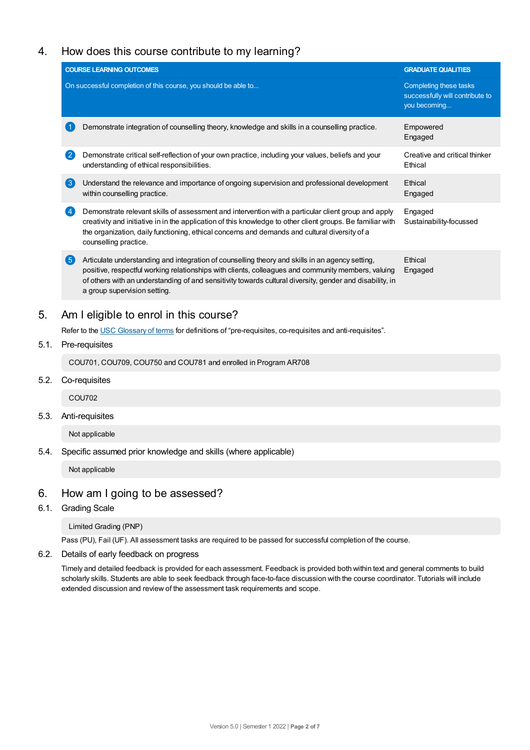# 4. How does this course contribute to my learning?

|                       | <b>COURSE LEARNING OUTCOMES</b>                                                                                                                                                                                                                                                                                                                   | <b>GRADUATE QUALITIES</b>                                                 |  |  |  |  |
|-----------------------|---------------------------------------------------------------------------------------------------------------------------------------------------------------------------------------------------------------------------------------------------------------------------------------------------------------------------------------------------|---------------------------------------------------------------------------|--|--|--|--|
|                       | On successful completion of this course, you should be able to                                                                                                                                                                                                                                                                                    | Completing these tasks<br>successfully will contribute to<br>you becoming |  |  |  |  |
|                       | Demonstrate integration of counselling theory, knowledge and skills in a counselling practice.                                                                                                                                                                                                                                                    | Empowered<br>Engaged                                                      |  |  |  |  |
| $\mathbf{2}^{\prime}$ | Demonstrate critical self-reflection of your own practice, including your values, beliefs and your<br>understanding of ethical responsibilities.                                                                                                                                                                                                  | Creative and critical thinker<br>Ethical                                  |  |  |  |  |
| $\left(3\right)$      | Understand the relevance and importance of ongoing supervision and professional development<br>within counselling practice.                                                                                                                                                                                                                       | Ethical<br>Engaged                                                        |  |  |  |  |
| $\left( 4 \right)$    | Demonstrate relevant skills of assessment and intervention with a particular client group and apply<br>creativity and initiative in in the application of this knowledge to other client groups. Be familiar with<br>the organization, daily functioning, ethical concerns and demands and cultural diversity of a<br>counselling practice.       | Engaged<br>Sustainability-focussed                                        |  |  |  |  |
| (5)                   | Articulate understanding and integration of counselling theory and skills in an agency setting,<br>positive, respectful working relationships with clients, colleagues and community members, valuing<br>of others with an understanding of and sensitivity towards cultural diversity, gender and disability, in<br>a group supervision setting. | Ethical<br>Engaged                                                        |  |  |  |  |
|                       | Am I eligible to enrol in this course?                                                                                                                                                                                                                                                                                                            |                                                                           |  |  |  |  |
|                       | Refer to the USC Glossary of terms for definitions of "pre-requisites, co-requisites and anti-requisites".                                                                                                                                                                                                                                        |                                                                           |  |  |  |  |
|                       | Pre-requisites                                                                                                                                                                                                                                                                                                                                    |                                                                           |  |  |  |  |
|                       | COU701, COU709, COU750 and COU781 and enrolled in Program AR708                                                                                                                                                                                                                                                                                   |                                                                           |  |  |  |  |
|                       | Co-requisites                                                                                                                                                                                                                                                                                                                                     |                                                                           |  |  |  |  |
|                       | <b>COU702</b>                                                                                                                                                                                                                                                                                                                                     |                                                                           |  |  |  |  |

5.3. Anti-requisites

Not applicable

5.4. Specific assumed prior knowledge and skills (where applicable)

Not applicable

# 6. How am Igoing to be assessed?

6.1. Grading Scale

Limited Grading (PNP)

Pass (PU), Fail (UF). All assessment tasks are required to be passed for successful completion of the course.

6.2. Details of early feedback on progress

Timely and detailed feedback is provided for each assessment. Feedback is provided both within text and general comments to build scholarly skills. Students are able to seek feedback through face-to-face discussion with the course coordinator. Tutorials will include extended discussion and review of the assessment task requirements and scope.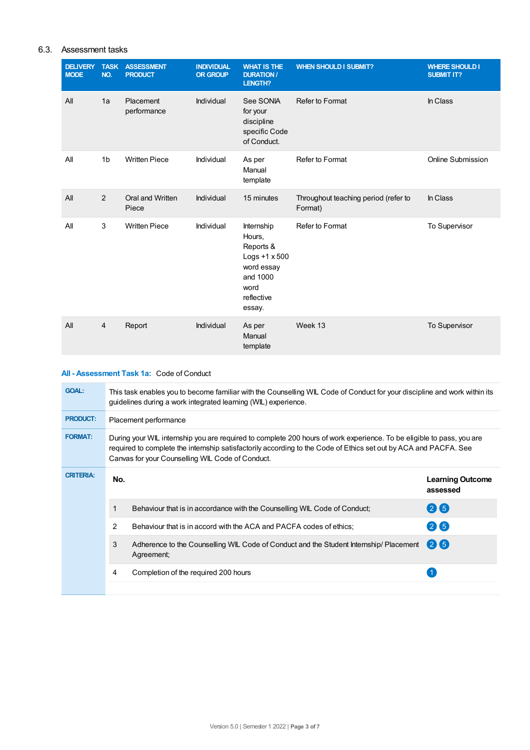## 6.3. Assessment tasks

| <b>DELIVERY</b><br><b>MODE</b> | <b>TASK</b><br>NO. | <b>ASSESSMENT</b><br><b>PRODUCT</b> | <b>INDIVIDUAL</b><br><b>OR GROUP</b> | <b>WHAT IS THE</b><br><b>DURATION /</b><br>LENGTH?                                                                  | <b>WHEN SHOULD I SUBMIT?</b>                    | <b>WHERE SHOULD I</b><br><b>SUBMIT IT?</b> |
|--------------------------------|--------------------|-------------------------------------|--------------------------------------|---------------------------------------------------------------------------------------------------------------------|-------------------------------------------------|--------------------------------------------|
| All                            | 1a                 | Placement<br>performance            | Individual                           | See SONIA<br>for your<br>discipline<br>specific Code<br>of Conduct.                                                 | Refer to Format                                 | In Class                                   |
| All                            | 1 <sub>b</sub>     | <b>Written Piece</b>                | Individual                           | As per<br>Manual<br>template                                                                                        | Refer to Format                                 | Online Submission                          |
| All                            | 2                  | Oral and Written<br>Piece           | Individual                           | 15 minutes                                                                                                          | Throughout teaching period (refer to<br>Format) | In Class                                   |
| All                            | 3                  | <b>Written Piece</b>                | Individual                           | Internship<br>Hours,<br>Reports &<br>Logs $+1 \times 500$<br>word essay<br>and 1000<br>word<br>reflective<br>essay. | Refer to Format                                 | To Supervisor                              |
| All                            | $\overline{4}$     | Report                              | Individual                           | As per<br>Manual<br>template                                                                                        | Week 13                                         | To Supervisor                              |

## **All - Assessment Task 1a:** Code of Conduct

| <b>GOAL:</b>     |     | This task enables you to become familiar with the Counselling WIL Code of Conduct for your discipline and work within its<br>guidelines during a work integrated learning (WIL) experience.                                                                                                   |                                     |  |  |  |  |
|------------------|-----|-----------------------------------------------------------------------------------------------------------------------------------------------------------------------------------------------------------------------------------------------------------------------------------------------|-------------------------------------|--|--|--|--|
| <b>PRODUCT:</b>  |     | Placement performance                                                                                                                                                                                                                                                                         |                                     |  |  |  |  |
| <b>FORMAT:</b>   |     | During your WIL internship you are required to complete 200 hours of work experience. To be eligible to pass, you are<br>required to complete the internship satisfactorily according to the Code of Ethics set out by ACA and PACFA. See<br>Canvas for your Counselling WIL Code of Conduct. |                                     |  |  |  |  |
| <b>CRITERIA:</b> | No. |                                                                                                                                                                                                                                                                                               | <b>Learning Outcome</b><br>assessed |  |  |  |  |
|                  |     | Behaviour that is in accordance with the Counselling WIL Code of Conduct;                                                                                                                                                                                                                     | 26                                  |  |  |  |  |
|                  | 2   | Behaviour that is in accord with the ACA and PACFA codes of ethics;                                                                                                                                                                                                                           | $(2)$ (5)                           |  |  |  |  |
|                  | 3   | Adherence to the Counselling WIL Code of Conduct and the Student Internship/ Placement<br>Agreement;                                                                                                                                                                                          | 26                                  |  |  |  |  |
|                  | 4   | Completion of the required 200 hours                                                                                                                                                                                                                                                          |                                     |  |  |  |  |
|                  |     |                                                                                                                                                                                                                                                                                               |                                     |  |  |  |  |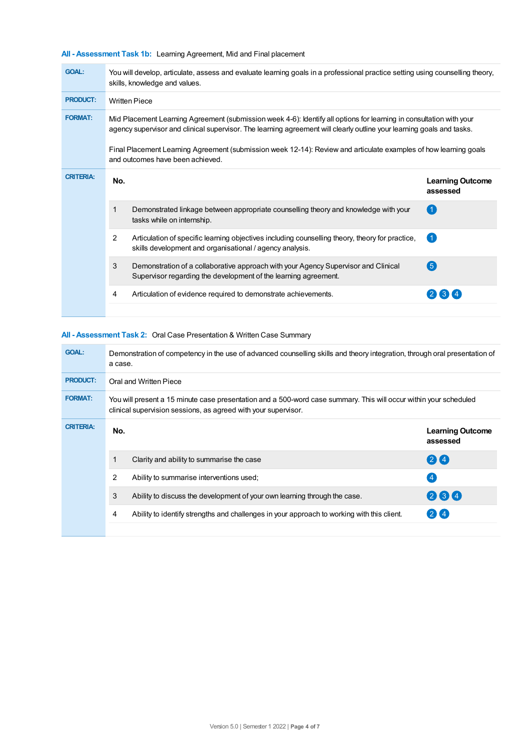**All - Assessment Task 1b:** Learning Agreement, Mid and Final placement

| <b>GOAL:</b>     |                                                                                                                                                                                                                                              | You will develop, articulate, assess and evaluate learning goals in a professional practice setting using counselling theory,<br>skills, knowledge and values. |                                     |  |  |  |  |
|------------------|----------------------------------------------------------------------------------------------------------------------------------------------------------------------------------------------------------------------------------------------|----------------------------------------------------------------------------------------------------------------------------------------------------------------|-------------------------------------|--|--|--|--|
| <b>PRODUCT:</b>  | <b>Written Piece</b>                                                                                                                                                                                                                         |                                                                                                                                                                |                                     |  |  |  |  |
| <b>FORMAT:</b>   | Mid Placement Learning Agreement (submission week 4-6): Identify all options for learning in consultation with your<br>agency supervisor and clinical supervisor. The learning agreement will clearly outline your learning goals and tasks. |                                                                                                                                                                |                                     |  |  |  |  |
|                  |                                                                                                                                                                                                                                              | Final Placement Learning Agreement (submission week 12-14): Review and articulate examples of how learning goals<br>and outcomes have been achieved.           |                                     |  |  |  |  |
| <b>CRITERIA:</b> | No.                                                                                                                                                                                                                                          |                                                                                                                                                                | <b>Learning Outcome</b><br>assessed |  |  |  |  |
|                  | 1                                                                                                                                                                                                                                            | Demonstrated linkage between appropriate counselling theory and knowledge with your<br>tasks while on internship.                                              |                                     |  |  |  |  |
|                  | 2                                                                                                                                                                                                                                            | Articulation of specific learning objectives including counselling theory, theory for practice,<br>skills development and organisational / agency analysis.    |                                     |  |  |  |  |
|                  | 3                                                                                                                                                                                                                                            | Demonstration of a collaborative approach with your Agency Supervisor and Clinical<br>Supervisor regarding the development of the learning agreement.          | <b>(5)</b>                          |  |  |  |  |
|                  | 4                                                                                                                                                                                                                                            | Articulation of evidence required to demonstrate achievements.                                                                                                 | $\lceil 3 \rceil$                   |  |  |  |  |

## **All - Assessment Task 2:** Oral Case Presentation & Written Case Summary

| <b>GOAL:</b>     |     | Demonstration of competency in the use of advanced counselling skills and theory integration, through oral presentation of<br>a case.                                               |                                     |  |  |  |  |
|------------------|-----|-------------------------------------------------------------------------------------------------------------------------------------------------------------------------------------|-------------------------------------|--|--|--|--|
| <b>PRODUCT:</b>  |     | Oral and Written Piece                                                                                                                                                              |                                     |  |  |  |  |
| <b>FORMAT:</b>   |     | You will present a 15 minute case presentation and a 500-word case summary. This will occur within your scheduled<br>clinical supervision sessions, as agreed with your supervisor. |                                     |  |  |  |  |
| <b>CRITERIA:</b> | No. |                                                                                                                                                                                     | <b>Learning Outcome</b><br>assessed |  |  |  |  |
|                  | 1   | Clarity and ability to summarise the case                                                                                                                                           | 24                                  |  |  |  |  |
|                  | 2   | Ability to summarise interventions used;                                                                                                                                            | $\overline{4}$                      |  |  |  |  |
|                  | 3   | Ability to discuss the development of your own learning through the case.                                                                                                           | 234                                 |  |  |  |  |
|                  | 4   | Ability to identify strengths and challenges in your approach to working with this client.                                                                                          | $2$ $\sqrt{4}$                      |  |  |  |  |
|                  |     |                                                                                                                                                                                     |                                     |  |  |  |  |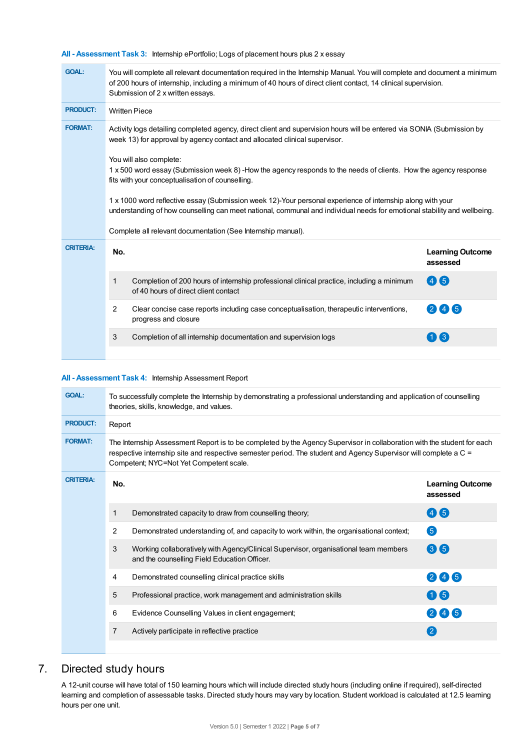**All - Assessment Task 3:** Internship ePortfolio; Logs of placement hours plus 2 x essay

| <b>GOAL:</b>     | You will complete all relevant documentation required in the Internship Manual. You will complete and document a minimum<br>of 200 hours of internship, including a minimum of 40 hours of direct client contact, 14 clinical supervision.<br>Submission of 2 x written essays.                                                                                                                                                                                                                                                                                                                                                                                                                                  |                                                                                                                                   |                                     |  |  |  |  |
|------------------|------------------------------------------------------------------------------------------------------------------------------------------------------------------------------------------------------------------------------------------------------------------------------------------------------------------------------------------------------------------------------------------------------------------------------------------------------------------------------------------------------------------------------------------------------------------------------------------------------------------------------------------------------------------------------------------------------------------|-----------------------------------------------------------------------------------------------------------------------------------|-------------------------------------|--|--|--|--|
| <b>PRODUCT:</b>  | <b>Written Piece</b>                                                                                                                                                                                                                                                                                                                                                                                                                                                                                                                                                                                                                                                                                             |                                                                                                                                   |                                     |  |  |  |  |
| <b>FORMAT:</b>   | Activity logs detailing completed agency, direct client and supervision hours will be entered via SONIA (Submission by<br>week 13) for approval by agency contact and allocated clinical supervisor.<br>You will also complete:<br>1 x 500 word essay (Submission week 8)-How the agency responds to the needs of clients. How the agency response<br>fits with your conceptualisation of counselling.<br>1 x 1000 word reflective essay (Submission week 12)-Your personal experience of internship along with your<br>understanding of how counselling can meet national, communal and individual needs for emotional stability and wellbeing.<br>Complete all relevant documentation (See Internship manual). |                                                                                                                                   |                                     |  |  |  |  |
| <b>CRITERIA:</b> | No.                                                                                                                                                                                                                                                                                                                                                                                                                                                                                                                                                                                                                                                                                                              |                                                                                                                                   | <b>Learning Outcome</b><br>assessed |  |  |  |  |
|                  | 1                                                                                                                                                                                                                                                                                                                                                                                                                                                                                                                                                                                                                                                                                                                | Completion of 200 hours of internship professional clinical practice, including a minimum<br>of 40 hours of direct client contact | 46                                  |  |  |  |  |
|                  | 2                                                                                                                                                                                                                                                                                                                                                                                                                                                                                                                                                                                                                                                                                                                | Clear concise case reports including case conceptualisation, therapeutic interventions,<br>progress and closure                   | 245                                 |  |  |  |  |
|                  | 3                                                                                                                                                                                                                                                                                                                                                                                                                                                                                                                                                                                                                                                                                                                | Completion of all internship documentation and supervision logs                                                                   | 113                                 |  |  |  |  |
|                  |                                                                                                                                                                                                                                                                                                                                                                                                                                                                                                                                                                                                                                                                                                                  |                                                                                                                                   |                                     |  |  |  |  |

## **All - Assessment Task 4:** Internship Assessment Report

| <b>GOAL:</b>     | To successfully complete the Internship by demonstrating a professional understanding and application of counselling<br>theories, skills, knowledge, and values. |                                                                                                                                                                                                                                                                                        |                                     |  |  |  |  |  |
|------------------|------------------------------------------------------------------------------------------------------------------------------------------------------------------|----------------------------------------------------------------------------------------------------------------------------------------------------------------------------------------------------------------------------------------------------------------------------------------|-------------------------------------|--|--|--|--|--|
| <b>PRODUCT:</b>  | Report                                                                                                                                                           |                                                                                                                                                                                                                                                                                        |                                     |  |  |  |  |  |
| <b>FORMAT:</b>   |                                                                                                                                                                  | The Internship Assessment Report is to be completed by the Agency Supervisor in collaboration with the student for each<br>respective internship site and respective semester period. The student and Agency Supervisor will complete a C =<br>Competent; NYC=Not Yet Competent scale. |                                     |  |  |  |  |  |
| <b>CRITERIA:</b> | No.                                                                                                                                                              |                                                                                                                                                                                                                                                                                        | <b>Learning Outcome</b><br>assessed |  |  |  |  |  |
|                  | 1                                                                                                                                                                | Demonstrated capacity to draw from counselling theory;                                                                                                                                                                                                                                 | 46                                  |  |  |  |  |  |
|                  | 2                                                                                                                                                                | Demonstrated understanding of, and capacity to work within, the organisational context;                                                                                                                                                                                                | 6                                   |  |  |  |  |  |
|                  | 3                                                                                                                                                                | Working collaboratively with Agency/Clinical Supervisor, organisational team members<br>and the counselling Field Education Officer.                                                                                                                                                   | 36                                  |  |  |  |  |  |
|                  | 4                                                                                                                                                                | Demonstrated counselling clinical practice skills                                                                                                                                                                                                                                      | 246                                 |  |  |  |  |  |
|                  | 5                                                                                                                                                                | Professional practice, work management and administration skills                                                                                                                                                                                                                       | 06                                  |  |  |  |  |  |
|                  | 6                                                                                                                                                                | Evidence Counselling Values in client engagement;                                                                                                                                                                                                                                      | 245                                 |  |  |  |  |  |
|                  | $\overline{7}$                                                                                                                                                   | Actively participate in reflective practice                                                                                                                                                                                                                                            | $\overline{2}$                      |  |  |  |  |  |
|                  |                                                                                                                                                                  |                                                                                                                                                                                                                                                                                        |                                     |  |  |  |  |  |

# 7. Directed study hours

A 12-unit course will have total of 150 learning hours which will include directed study hours (including online if required), self-directed learning and completion of assessable tasks. Directed study hours may vary by location. Student workload is calculated at 12.5 learning hours per one unit.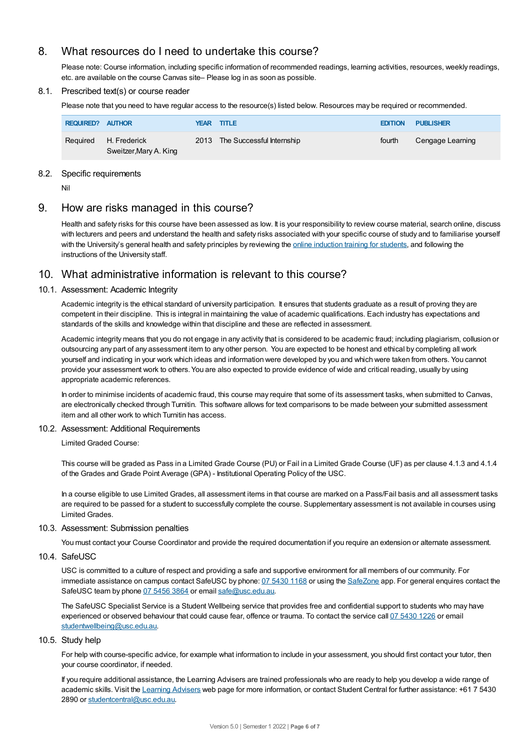# 8. What resources do I need to undertake this course?

Please note: Course information, including specific information of recommended readings, learning activities, resources, weekly readings, etc. are available on the course Canvas site– Please log in as soon as possible.

## 8.1. Prescribed text(s) or course reader

Please note that you need to have regular access to the resource(s) listed below. Resources may be required or recommended.

| <b>REQUIRED? AUTHOR</b> |                                        | YEAR TITLE                     | <b>EDITION</b> | <b>PUBLISHER</b> |
|-------------------------|----------------------------------------|--------------------------------|----------------|------------------|
| Required                | H. Frederick<br>Sweitzer, Mary A. King | 2013 The Successful Internship | fourth         | Cengage Learning |

## 8.2. Specific requirements

Nil

# 9. How are risks managed in this course?

Health and safety risks for this course have been assessed as low. It is your responsibility to review course material, search online, discuss with lecturers and peers and understand the health and safety risks associated with your specific course of study and to familiarise yourself with the University's general health and safety principles by reviewing the online [induction](https://online.usc.edu.au/webapps/blackboard/content/listContentEditable.jsp?content_id=_632657_1&course_id=_14432_1) training for students, and following the instructions of the University staff.

# 10. What administrative information is relevant to this course?

## 10.1. Assessment: Academic Integrity

Academic integrity is the ethical standard of university participation. It ensures that students graduate as a result of proving they are competent in their discipline. This is integral in maintaining the value of academic qualifications. Each industry has expectations and standards of the skills and knowledge within that discipline and these are reflected in assessment.

Academic integrity means that you do not engage in any activity that is considered to be academic fraud; including plagiarism, collusion or outsourcing any part of any assessment item to any other person. You are expected to be honest and ethical by completing all work yourself and indicating in your work which ideas and information were developed by you and which were taken from others. You cannot provide your assessment work to others.You are also expected to provide evidence of wide and critical reading, usually by using appropriate academic references.

In order to minimise incidents of academic fraud, this course may require that some of its assessment tasks, when submitted to Canvas, are electronically checked through Turnitin. This software allows for text comparisons to be made between your submitted assessment item and all other work to which Turnitin has access.

## 10.2. Assessment: Additional Requirements

Limited Graded Course:

This course will be graded as Pass in a Limited Grade Course (PU) or Fail in a Limited Grade Course (UF) as per clause 4.1.3 and 4.1.4 of the Grades and Grade Point Average (GPA) - Institutional Operating Policy of the USC.

In a course eligible to use Limited Grades, all assessment items in that course are marked on a Pass/Fail basis and all assessment tasks are required to be passed for a student to successfully complete the course. Supplementary assessment is not available in courses using Limited Grades.

## 10.3. Assessment: Submission penalties

You must contact your Course Coordinator and provide the required documentation if you require an extension or alternate assessment.

10.4. SafeUSC

USC is committed to a culture of respect and providing a safe and supportive environment for all members of our community. For immediate assistance on campus contact SafeUSC by phone: 07 [5430](tel:07%205430%201168) 1168 or using the [SafeZone](https://www.safezoneapp.com) app. For general enquires contact the SafeUSC team by phone 07 [5456](tel:07%205456%203864) 3864 or email [safe@usc.edu.au](mailto:safe@usc.edu.au).

The SafeUSC Specialist Service is a Student Wellbeing service that provides free and confidential support to students who may have experienced or observed behaviour that could cause fear, offence or trauma. To contact the service call 07 [5430](tel:07%205430%201226) 1226 or email [studentwellbeing@usc.edu.au](mailto:studentwellbeing@usc.edu.au).

#### 10.5. Study help

For help with course-specific advice, for example what information to include in your assessment, you should first contact your tutor, then your course coordinator, if needed.

If you require additional assistance, the Learning Advisers are trained professionals who are ready to help you develop a wide range of academic skills. Visit the Learning [Advisers](https://www.usc.edu.au/current-students/student-support/academic-and-study-support/learning-advisers) web page for more information, or contact Student Central for further assistance: +61 7 5430 2890 or [studentcentral@usc.edu.au](mailto:studentcentral@usc.edu.au).